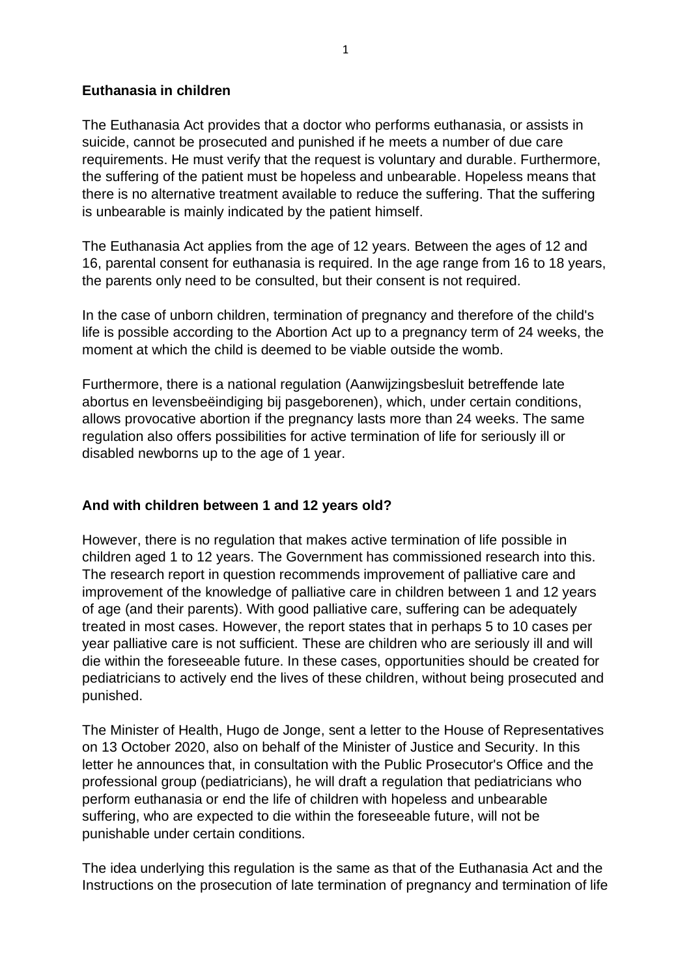## **Euthanasia in children**

The Euthanasia Act provides that a doctor who performs euthanasia, or assists in suicide, cannot be prosecuted and punished if he meets a number of due care requirements. He must verify that the request is voluntary and durable. Furthermore, the suffering of the patient must be hopeless and unbearable. Hopeless means that there is no alternative treatment available to reduce the suffering. That the suffering is unbearable is mainly indicated by the patient himself.

The Euthanasia Act applies from the age of 12 years. Between the ages of 12 and 16, parental consent for euthanasia is required. In the age range from 16 to 18 years, the parents only need to be consulted, but their consent is not required.

In the case of unborn children, termination of pregnancy and therefore of the child's life is possible according to the Abortion Act up to a pregnancy term of 24 weeks, the moment at which the child is deemed to be viable outside the womb.

Furthermore, there is a national regulation (Aanwijzingsbesluit betreffende late abortus en levensbeëindiging bij pasgeborenen), which, under certain conditions, allows provocative abortion if the pregnancy lasts more than 24 weeks. The same regulation also offers possibilities for active termination of life for seriously ill or disabled newborns up to the age of 1 year.

# **And with children between 1 and 12 years old?**

However, there is no regulation that makes active termination of life possible in children aged 1 to 12 years. The Government has commissioned research into this. The research report in question recommends improvement of palliative care and improvement of the knowledge of palliative care in children between 1 and 12 years of age (and their parents). With good palliative care, suffering can be adequately treated in most cases. However, the report states that in perhaps 5 to 10 cases per year palliative care is not sufficient. These are children who are seriously ill and will die within the foreseeable future. In these cases, opportunities should be created for pediatricians to actively end the lives of these children, without being prosecuted and punished.

The Minister of Health, Hugo de Jonge, sent a letter to the House of Representatives on 13 October 2020, also on behalf of the Minister of Justice and Security. In this letter he announces that, in consultation with the Public Prosecutor's Office and the professional group (pediatricians), he will draft a regulation that pediatricians who perform euthanasia or end the life of children with hopeless and unbearable suffering, who are expected to die within the foreseeable future, will not be punishable under certain conditions.

The idea underlying this regulation is the same as that of the Euthanasia Act and the Instructions on the prosecution of late termination of pregnancy and termination of life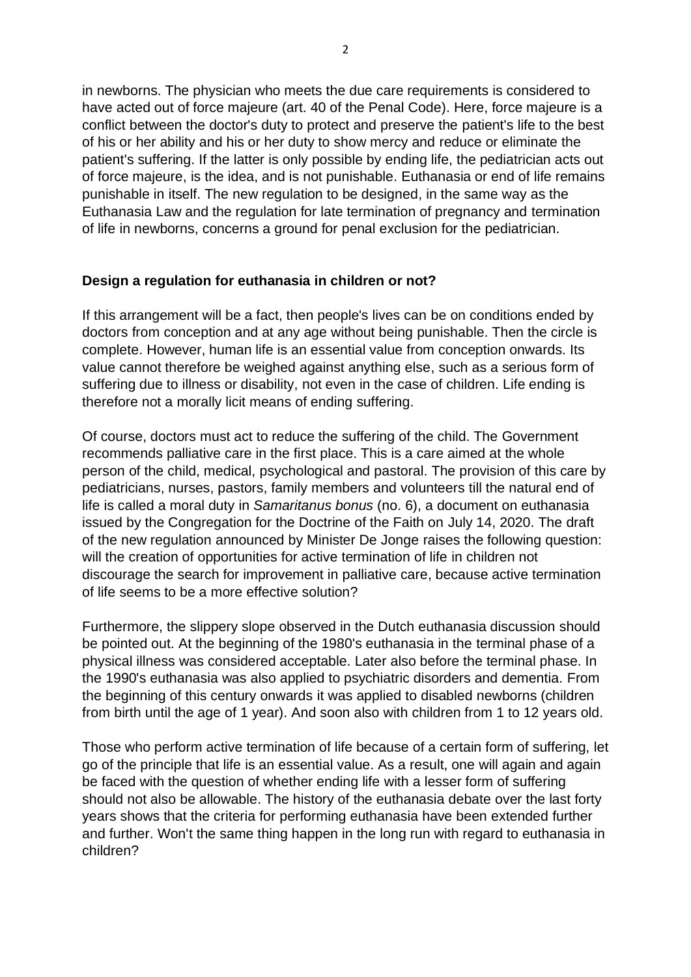in newborns. The physician who meets the due care requirements is considered to have acted out of force majeure (art. 40 of the Penal Code). Here, force majeure is a conflict between the doctor's duty to protect and preserve the patient's life to the best of his or her ability and his or her duty to show mercy and reduce or eliminate the patient's suffering. If the latter is only possible by ending life, the pediatrician acts out of force majeure, is the idea, and is not punishable. Euthanasia or end of life remains punishable in itself. The new regulation to be designed, in the same way as the Euthanasia Law and the regulation for late termination of pregnancy and termination of life in newborns, concerns a ground for penal exclusion for the pediatrician.

#### **Design a regulation for euthanasia in children or not?**

If this arrangement will be a fact, then people's lives can be on conditions ended by doctors from conception and at any age without being punishable. Then the circle is complete. However, human life is an essential value from conception onwards. Its value cannot therefore be weighed against anything else, such as a serious form of suffering due to illness or disability, not even in the case of children. Life ending is therefore not a morally licit means of ending suffering.

Of course, doctors must act to reduce the suffering of the child. The Government recommends palliative care in the first place. This is a care aimed at the whole person of the child, medical, psychological and pastoral. The provision of this care by pediatricians, nurses, pastors, family members and volunteers till the natural end of life is called a moral duty in *Samaritanus bonus* (no. 6), a document on euthanasia issued by the Congregation for the Doctrine of the Faith on July 14, 2020. The draft of the new regulation announced by Minister De Jonge raises the following question: will the creation of opportunities for active termination of life in children not discourage the search for improvement in palliative care, because active termination of life seems to be a more effective solution?

Furthermore, the slippery slope observed in the Dutch euthanasia discussion should be pointed out. At the beginning of the 1980's euthanasia in the terminal phase of a physical illness was considered acceptable. Later also before the terminal phase. In the 1990's euthanasia was also applied to psychiatric disorders and dementia. From the beginning of this century onwards it was applied to disabled newborns (children from birth until the age of 1 year). And soon also with children from 1 to 12 years old.

Those who perform active termination of life because of a certain form of suffering, let go of the principle that life is an essential value. As a result, one will again and again be faced with the question of whether ending life with a lesser form of suffering should not also be allowable. The history of the euthanasia debate over the last forty years shows that the criteria for performing euthanasia have been extended further and further. Won't the same thing happen in the long run with regard to euthanasia in children?